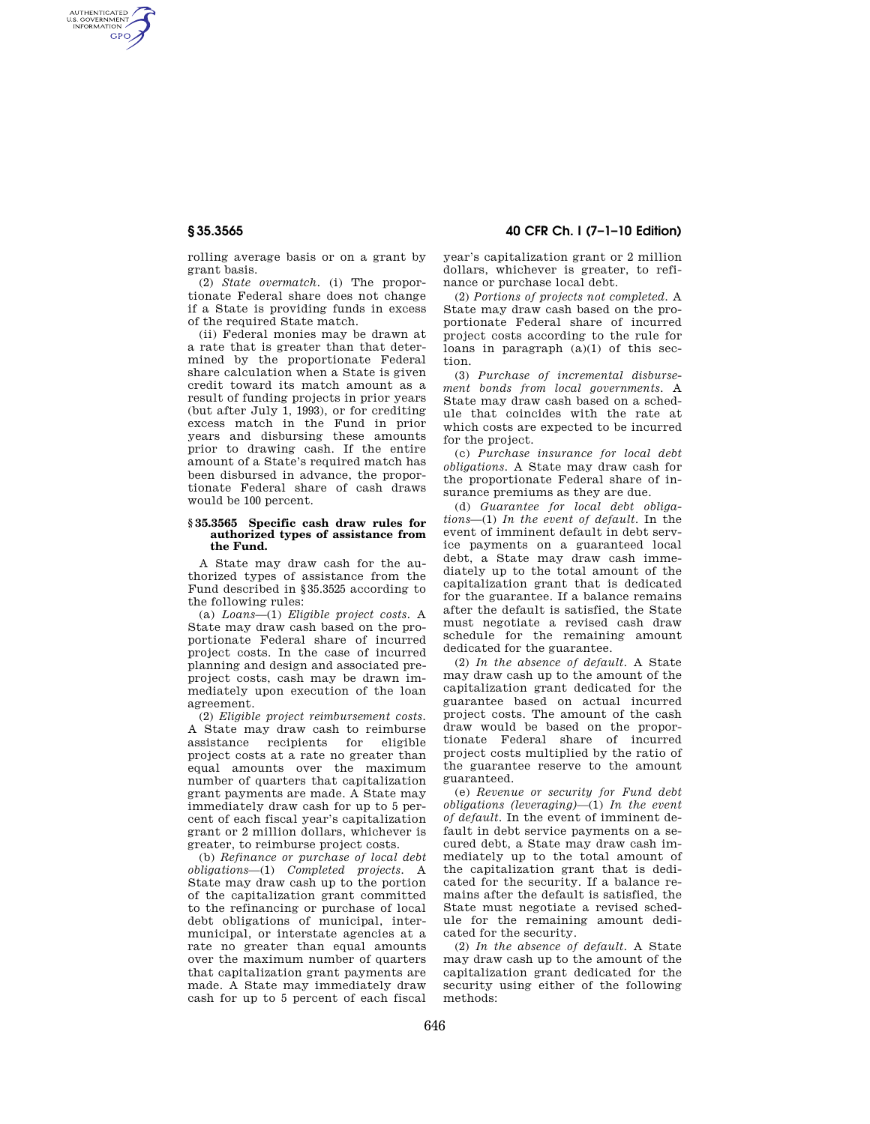AUTHENTICATED<br>U.S. GOVERNMENT<br>INFORMATION **GPO** 

**§ 35.3565 40 CFR Ch. I (7–1–10 Edition)** 

rolling average basis or on a grant by grant basis.

(2) *State overmatch.* (i) The proportionate Federal share does not change if a State is providing funds in excess of the required State match.

(ii) Federal monies may be drawn at a rate that is greater than that determined by the proportionate Federal share calculation when a State is given credit toward its match amount as a result of funding projects in prior years (but after July 1, 1993), or for crediting excess match in the Fund in prior years and disbursing these amounts prior to drawing cash. If the entire amount of a State's required match has been disbursed in advance, the proportionate Federal share of cash draws would be 100 percent.

## **§ 35.3565 Specific cash draw rules for authorized types of assistance from the Fund.**

A State may draw cash for the authorized types of assistance from the Fund described in §35.3525 according to the following rules:

(a) *Loans*—(1) *Eligible project costs.* A State may draw cash based on the proportionate Federal share of incurred project costs. In the case of incurred planning and design and associated preproject costs, cash may be drawn immediately upon execution of the loan agreement.

(2) *Eligible project reimbursement costs.*  A State may draw cash to reimburse recipients for project costs at a rate no greater than equal amounts over the maximum number of quarters that capitalization grant payments are made. A State may immediately draw cash for up to 5 percent of each fiscal year's capitalization grant or 2 million dollars, whichever is greater, to reimburse project costs.

(b) *Refinance or purchase of local debt obligations*—(1) *Completed projects.* A State may draw cash up to the portion of the capitalization grant committed to the refinancing or purchase of local debt obligations of municipal, intermunicipal, or interstate agencies at a rate no greater than equal amounts over the maximum number of quarters that capitalization grant payments are made. A State may immediately draw cash for up to 5 percent of each fiscal

year's capitalization grant or 2 million dollars, whichever is greater, to refinance or purchase local debt.

(2) *Portions of projects not completed.* A State may draw cash based on the proportionate Federal share of incurred project costs according to the rule for loans in paragraph  $(a)(1)$  of this section.

(3) *Purchase of incremental disbursement bonds from local governments.* A State may draw cash based on a schedule that coincides with the rate at which costs are expected to be incurred for the project.

(c) *Purchase insurance for local debt obligations.* A State may draw cash for the proportionate Federal share of insurance premiums as they are due.

(d) *Guarantee for local debt obligations*—(1) *In the event of default.* In the event of imminent default in debt service payments on a guaranteed local debt, a State may draw cash immediately up to the total amount of the capitalization grant that is dedicated for the guarantee. If a balance remains after the default is satisfied, the State must negotiate a revised cash draw schedule for the remaining amount dedicated for the guarantee.

(2) *In the absence of default.* A State may draw cash up to the amount of the capitalization grant dedicated for the guarantee based on actual incurred project costs. The amount of the cash draw would be based on the proportionate Federal share of incurred project costs multiplied by the ratio of the guarantee reserve to the amount guaranteed.

(e) *Revenue or security for Fund debt obligations (leveraging)*—(1) *In the event of default.* In the event of imminent default in debt service payments on a secured debt, a State may draw cash immediately up to the total amount of the capitalization grant that is dedicated for the security. If a balance remains after the default is satisfied, the State must negotiate a revised schedule for the remaining amount dedicated for the security.

(2) *In the absence of default.* A State may draw cash up to the amount of the capitalization grant dedicated for the security using either of the following methods: